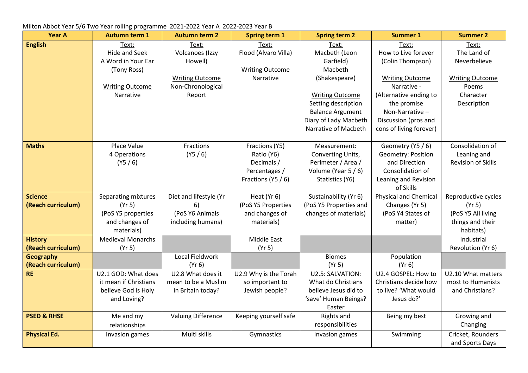| <b>Year A</b>          | <b>Autumn term 1</b>     | <b>Autumn term 2</b>      | <b>Spring term 1</b>   | <b>Spring term 2</b>    | <b>Summer 1</b>              | <b>Summer 2</b>           |
|------------------------|--------------------------|---------------------------|------------------------|-------------------------|------------------------------|---------------------------|
| <b>English</b>         | Text:                    | Text:                     | Text:                  | Text:                   | Text:                        | Text:                     |
|                        | <b>Hide and Seek</b>     | Volcanoes (Izzy           | Flood (Alvaro Villa)   | Macbeth (Leon           | How to Live forever          | The Land of               |
|                        | A Word in Your Ear       | Howell)                   |                        | Garfield)               | (Colin Thompson)             | Neverbelieve              |
|                        | (Tony Ross)              |                           | <b>Writing Outcome</b> | Macbeth                 |                              |                           |
|                        |                          | <b>Writing Outcome</b>    | Narrative              | (Shakespeare)           | <b>Writing Outcome</b>       | <b>Writing Outcome</b>    |
|                        | <b>Writing Outcome</b>   | Non-Chronological         |                        |                         | Narrative -                  | Poems                     |
|                        | Narrative                | Report                    |                        | <b>Writing Outcome</b>  | (Alternative ending to       | Character                 |
|                        |                          |                           |                        | Setting description     | the promise                  | Description               |
|                        |                          |                           |                        | <b>Balance Argument</b> | Non-Narrative-               |                           |
|                        |                          |                           |                        | Diary of Lady Macbeth   | Discussion (pros and         |                           |
|                        |                          |                           |                        | Narrative of Macbeth    | cons of living forever)      |                           |
| <b>Maths</b>           | Place Value              | Fractions                 | Fractions (Y5)         | Measurement:            | Geometry (Y5 / 6)            | Consolidation of          |
|                        | 4 Operations             | (Y5 / 6)                  | Ratio (Y6)             | Converting Units,       | Geometry: Position           | Leaning and               |
|                        | (Y5 / 6)                 |                           | Decimals /             | Perimeter / Area /      | and Direction                | <b>Revision of Skills</b> |
|                        |                          |                           | Percentages /          | Volume (Year 5 / 6)     | Consolidation of             |                           |
|                        |                          |                           | Fractions (Y5 / 6)     | Statistics (Y6)         | Leaning and Revision         |                           |
|                        |                          |                           |                        |                         | of Skills                    |                           |
| <b>Science</b>         | Separating mixtures      | Diet and lifestyle (Yr    | Heat (Yr 6)            | Sustainability (Yr 6)   | <b>Physical and Chemical</b> | Reproductive cycles       |
| (Reach curriculum)     | (Yr 5)                   | 6)                        | (PoS Y5 Properties     | (PoS Y5 Properties and  | Changes (Yr 5)               | (Yr 5)                    |
|                        | (PoS Y5 properties       | (PoS Y6 Animals           | and changes of         | changes of materials)   | (PoS Y4 States of            | (PoS Y5 All living        |
|                        | and changes of           | including humans)         | materials)             |                         | matter)                      | things and their          |
|                        | materials)               |                           |                        |                         |                              | habitats)                 |
| <b>History</b>         | <b>Medieval Monarchs</b> |                           | Middle East            |                         |                              | Industrial                |
| (Reach curriculum)     | (Yr 5)                   |                           | (Yr 5)                 |                         |                              | Revolution (Yr 6)         |
| <b>Geography</b>       |                          | Local Fieldwork           |                        | <b>Biomes</b>           | Population                   |                           |
| (Reach curriculum)     |                          | (Yr 6)                    |                        | (Yr 5)                  | (Yr 6)                       |                           |
| <b>RE</b>              | U2.1 GOD: What does      | U2.8 What does it         | U2.9 Why is the Torah  | U2.5: SALVATION:        | U2.4 GOSPEL: How to          | U2.10 What matters        |
|                        | it mean if Christians    | mean to be a Muslim       | so important to        | What do Christians      | Christians decide how        | most to Humanists         |
|                        | believe God is Holy      | in Britain today?         | Jewish people?         | believe Jesus did to    | to live? 'What would         | and Christians?           |
|                        | and Loving?              |                           |                        | 'save' Human Beings?    | Jesus do?'                   |                           |
|                        |                          |                           |                        | Easter                  |                              |                           |
| <b>PSED &amp; RHSE</b> | Me and my                | <b>Valuing Difference</b> | Keeping yourself safe  | Rights and              | Being my best                | Growing and               |
|                        | relationships            |                           |                        | responsibilities        |                              | Changing                  |
| <b>Physical Ed.</b>    | Invasion games           | Multi skills              | Gymnastics             | Invasion games          | Swimming                     | Cricket, Rounders         |
|                        |                          |                           |                        |                         |                              | and Sports Days           |

## Milton Abbot Year 5/6 Two Year rolling programme 2021-2022 Year A 2022-2023 Year B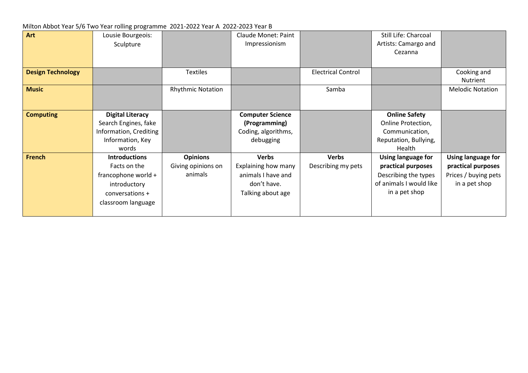## Milton Abbot Year 5/6 Two Year rolling programme 2021-2022 Year A 2022-2023 Year B

| Art                      | Lousie Bourgeois:       |                          | <b>Claude Monet: Paint</b> |                           | Still Life: Charcoal    |                         |
|--------------------------|-------------------------|--------------------------|----------------------------|---------------------------|-------------------------|-------------------------|
|                          | Sculpture               |                          | Impressionism              |                           | Artists: Camargo and    |                         |
|                          |                         |                          |                            |                           | Cezanna                 |                         |
|                          |                         |                          |                            |                           |                         |                         |
| <b>Design Technology</b> |                         | <b>Textiles</b>          |                            | <b>Electrical Control</b> |                         | Cooking and             |
|                          |                         |                          |                            |                           |                         | Nutrient                |
| <b>Music</b>             |                         | <b>Rhythmic Notation</b> |                            | Samba                     |                         | <b>Melodic Notation</b> |
|                          |                         |                          |                            |                           |                         |                         |
|                          |                         |                          |                            |                           |                         |                         |
| <b>Computing</b>         | <b>Digital Literacy</b> |                          | <b>Computer Science</b>    |                           | <b>Online Safety</b>    |                         |
|                          | Search Engines, fake    |                          | (Programming)              |                           | Online Protection,      |                         |
|                          | Information, Crediting  |                          | Coding, algorithms,        |                           | Communication,          |                         |
|                          | Information, Key        |                          | debugging                  |                           | Reputation, Bullying,   |                         |
|                          | words                   |                          |                            |                           | Health                  |                         |
| <b>French</b>            | <b>Introductions</b>    | <b>Opinions</b>          | <b>Verbs</b>               | <b>Verbs</b>              | Using language for      | Using language for      |
|                          | Facts on the            | Giving opinions on       | Explaining how many        | Describing my pets        | practical purposes      | practical purposes      |
|                          | francophone world +     | animals                  | animals I have and         |                           | Describing the types    | Prices / buying pets    |
|                          | introductory            |                          | don't have.                |                           | of animals I would like | in a pet shop           |
|                          | conversations +         |                          | Talking about age          |                           | in a pet shop           |                         |
|                          | classroom language      |                          |                            |                           |                         |                         |
|                          |                         |                          |                            |                           |                         |                         |